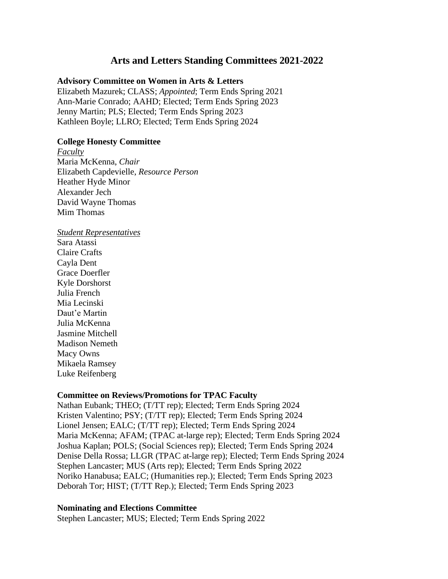# **Arts and Letters Standing Committees 2021-2022**

### **Advisory Committee on Women in Arts & Letters**

Elizabeth Mazurek; CLASS; *Appointed*; Term Ends Spring 2021 Ann-Marie Conrado; AAHD; Elected; Term Ends Spring 2023 Jenny Martin; PLS; Elected; Term Ends Spring 2023 Kathleen Boyle; LLRO; Elected; Term Ends Spring 2024

## **College Honesty Committee**

*Faculty* Maria McKenna, *Chair* Elizabeth Capdevielle, *Resource Person* Heather Hyde Minor Alexander Jech David Wayne Thomas Mim Thomas

#### *Student Representatives*

Sara Atassi Claire Crafts Cayla Dent Grace Doerfler Kyle Dorshorst Julia French Mia Lecinski Daut'e Martin Julia McKenna Jasmine Mitchell Madison Nemeth Macy Owns Mikaela Ramsey Luke Reifenberg

## **Committee on Reviews/Promotions for TPAC Faculty**

Nathan Eubank; THEO; (T/TT rep); Elected; Term Ends Spring 2024 Kristen Valentino; PSY; (T/TT rep); Elected; Term Ends Spring 2024 Lionel Jensen; EALC; (T/TT rep); Elected; Term Ends Spring 2024 Maria McKenna; AFAM; (TPAC at-large rep); Elected; Term Ends Spring 2024 Joshua Kaplan; POLS; (Social Sciences rep); Elected; Term Ends Spring 2024 Denise Della Rossa; LLGR (TPAC at-large rep); Elected; Term Ends Spring 2024 Stephen Lancaster; MUS (Arts rep); Elected; Term Ends Spring 2022 Noriko Hanabusa; EALC; (Humanities rep.); Elected; Term Ends Spring 2023 Deborah Tor; HIST; (T/TT Rep.); Elected; Term Ends Spring 2023

## **Nominating and Elections Committee**

Stephen Lancaster; MUS; Elected; Term Ends Spring 2022